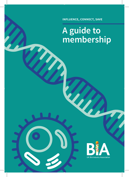**influence, connect, save**

## **A guide to membership**

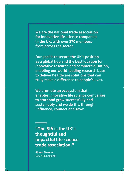**We are the national trade association for innovative life science companies in the UK, with over 370 members from across the sector.** 

**Our goal is to secure the UK's position as a global hub and the best location for innovative research and commercialisation, enabling our world-leading research base to deliver healthcare solutions that can truly make a difference to people's lives.** 

**We promote an ecosystem that enables innovative life science companies to start and grow successfully and sustainably and we do this through 'influence, connect and save'.** 

**"The BIA is the UK's thoughtful and impactful life science trade association."**

**Simon Stevens** CEO NHS England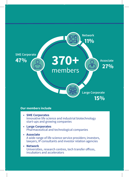

### **Our members include**

- **SME Corporates** Innovative life science and industrial biotechnology start-ups and growing companies
- **Large Corporates**  Pharmaceutical and technological companies
- **Associate** A wide range of life science service providers; investors, lawyers, IP consultants and investor relation agencies
- **Network** Universities, research centres, tech transfer offices, incubators and accelerators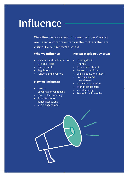# **Influence**

We influence policy ensuring our members' voices are heard and represented on the matters that are critical for our sector's success.

### **Who we Influence**

- Ministers and their advisors
- MPs and Peers
- Civil Servants
- Regulators
- Funders and investors

#### **How we Influence**

- Letters
- Consultation responses
- Face-to-face meetings
- Roundtables and panel discussions
- Media engagement

### **Key strategic policy areas**

- Leaving the EU
- Finance
- Tax and investment
- Access to medicines
- Skills, people and talent
- Pre-clinical and clinical research
- Medicines regulation
- IP and tech transfer
- Manufacturing
- Strategic technologies

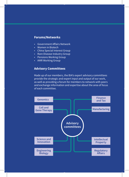### **Forums/Networks**

- Government Affairs Network
- Women in Biotech
- China Special Interest Group
- Rare Disease Industry Group
- Pensions Working Group
- AMR Working Group

### **Advisory Committees**

Made up of our members, the BIA's expert advisory committees provide the strategic and expert input and output of our work, as well as providing a forum for members to network with peers and exchange information and expertise about the area of focus of each committee.

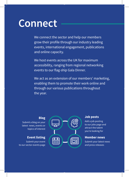# **Connect**

We connect the sector and help our members grow their profile through our industry leading events, international engagement, publications and online capacity.

We host events across the UK for maximum accessibility, ranging from regional networking events to our flag-ship Gala Dinner.

We act as an extension of our members' marketing, enabling them to promote their work online and through our various publications throughout the year.

#### **Blog**

Submit a blog on your latest news, events or topics of interest

### **Event listing**

Submit your event to our sector events page



#### **Job posts**

Add a job posting to our jobs page and attract the talent you're looking for

### **Member news**

Submit your latest news and press releases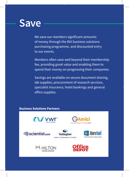## **Save**

We save our members significant amounts of money through the BIA business solutions purchasing programme, and discounted entry to our events.

Members often save well beyond their membership fee, providing great value and enabling them to spend their money on progressing their companies.

Savings are available on secure document sharing, lab supplies, procurement of research services, specialist insurance, hotel bookings and general office supplies.

### **Business Solutions Partners**